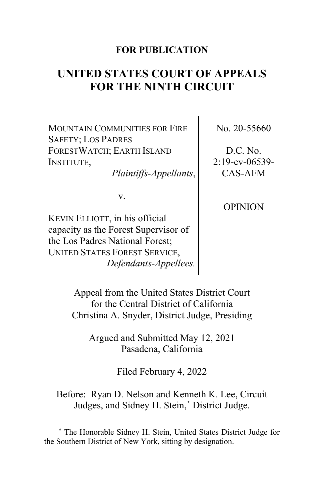#### **FOR PUBLICATION**

# **UNITED STATES COURT OF APPEALS FOR THE NINTH CIRCUIT**

MOUNTAIN COMMUNITIES FOR FIRE SAFETY; LOS PADRES FORESTWATCH; EARTH ISLAND INSTITUTE,

*Plaintiffs-Appellants*,

v.

KEVIN ELLIOTT, in his official capacity as the Forest Supervisor of the Los Padres National Forest; UNITED STATES FOREST SERVICE, *Defendants-Appellees.* No. 20-55660

D.C. No. 2:19-cv-06539- CAS-AFM

OPINION

Appeal from the United States District Court for the Central District of California Christina A. Snyder, District Judge, Presiding

Argued and Submitted May 12, 2021 Pasadena, California

Filed February 4, 2022

Before: Ryan D. Nelson and Kenneth K. Lee, Circuit Judges, and Sidney H. Stein,**[\\*](#page-0-0)** District Judge.

<span id="page-0-0"></span>**<sup>\*</sup>** The Honorable Sidney H. Stein, United States District Judge for the Southern District of New York, sitting by designation.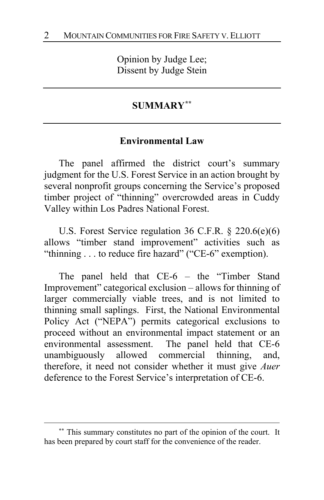Opinion by Judge Lee; Dissent by Judge Stein

#### **SUMMARY[\\*\\*](#page-1-0)**

#### **Environmental Law**

The panel affirmed the district court's summary judgment for the U.S. Forest Service in an action brought by several nonprofit groups concerning the Service's proposed timber project of "thinning" overcrowded areas in Cuddy Valley within Los Padres National Forest.

U.S. Forest Service regulation 36 C.F.R. § 220.6(e)(6) allows "timber stand improvement" activities such as "thinning . . . to reduce fire hazard" ("CE-6" exemption).

The panel held that CE-6 – the "Timber Stand Improvement" categorical exclusion – allows for thinning of larger commercially viable trees, and is not limited to thinning small saplings. First, the National Environmental Policy Act ("NEPA") permits categorical exclusions to proceed without an environmental impact statement or an environmental assessment. The panel held that CE-6 unambiguously allowed commercial thinning, and, therefore, it need not consider whether it must give *Auer* deference to the Forest Service's interpretation of CE-6.

<span id="page-1-0"></span>**<sup>\*\*</sup>** This summary constitutes no part of the opinion of the court. It has been prepared by court staff for the convenience of the reader.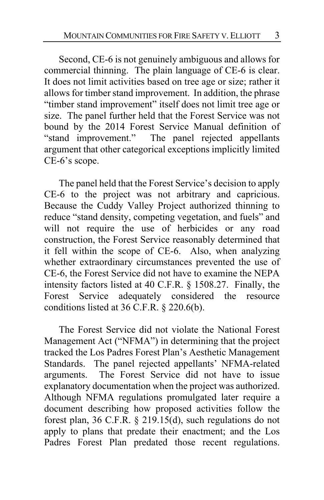Second, CE-6 is not genuinely ambiguous and allows for commercial thinning. The plain language of CE-6 is clear. It does not limit activities based on tree age or size; rather it allows for timber stand improvement. In addition, the phrase "timber stand improvement" itself does not limit tree age or size. The panel further held that the Forest Service was not bound by the 2014 Forest Service Manual definition of "stand improvement." The panel rejected appellants argument that other categorical exceptions implicitly limited CE-6's scope.

The panel held that the Forest Service's decision to apply CE-6 to the project was not arbitrary and capricious. Because the Cuddy Valley Project authorized thinning to reduce "stand density, competing vegetation, and fuels" and will not require the use of herbicides or any road construction, the Forest Service reasonably determined that it fell within the scope of CE-6. Also, when analyzing whether extraordinary circumstances prevented the use of CE-6, the Forest Service did not have to examine the NEPA intensity factors listed at 40 C.F.R. § 1508.27. Finally, the Forest Service adequately considered the resource conditions listed at 36 C.F.R. § 220.6(b).

The Forest Service did not violate the National Forest Management Act ("NFMA") in determining that the project tracked the Los Padres Forest Plan's Aesthetic Management Standards. The panel rejected appellants' NFMA-related arguments. The Forest Service did not have to issue explanatory documentation when the project was authorized. Although NFMA regulations promulgated later require a document describing how proposed activities follow the forest plan, 36 C.F.R. § 219.15(d), such regulations do not apply to plans that predate their enactment; and the Los Padres Forest Plan predated those recent regulations.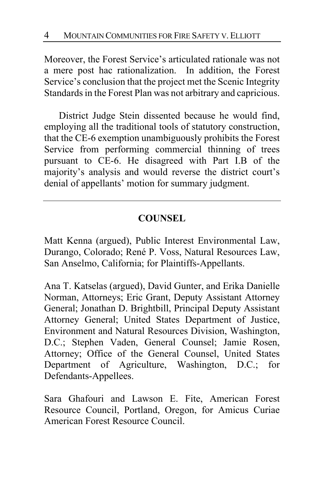Moreover, the Forest Service's articulated rationale was not a mere post hac rationalization. In addition, the Forest Service's conclusion that the project met the Scenic Integrity Standards in the Forest Plan was not arbitrary and capricious.

District Judge Stein dissented because he would find, employing all the traditional tools of statutory construction, that the CE-6 exemption unambiguously prohibits the Forest Service from performing commercial thinning of trees pursuant to CE-6. He disagreed with Part I.B of the majority's analysis and would reverse the district court's denial of appellants' motion for summary judgment.

# **COUNSEL**

Matt Kenna (argued), Public Interest Environmental Law, Durango, Colorado; René P. Voss, Natural Resources Law, San Anselmo, California; for Plaintiffs-Appellants.

Ana T. Katselas (argued), David Gunter, and Erika Danielle Norman, Attorneys; Eric Grant, Deputy Assistant Attorney General; Jonathan D. Brightbill, Principal Deputy Assistant Attorney General; United States Department of Justice, Environment and Natural Resources Division, Washington, D.C.; Stephen Vaden, General Counsel; Jamie Rosen, Attorney; Office of the General Counsel, United States Department of Agriculture, Washington, D.C.; for Defendants-Appellees.

Sara Ghafouri and Lawson E. Fite, American Forest Resource Council, Portland, Oregon, for Amicus Curiae American Forest Resource Council.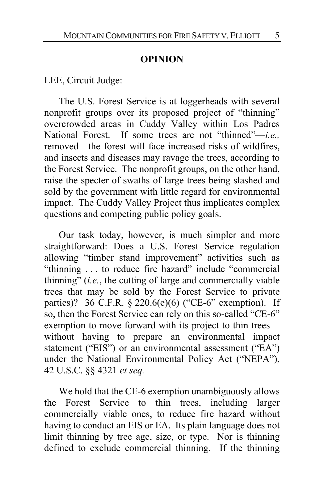#### **OPINION**

LEE, Circuit Judge:

The U.S. Forest Service is at loggerheads with several nonprofit groups over its proposed project of "thinning" overcrowded areas in Cuddy Valley within Los Padres National Forest. If some trees are not "thinned"—*i.e.,*  removed—the forest will face increased risks of wildfires, and insects and diseases may ravage the trees, according to the Forest Service. The nonprofit groups, on the other hand, raise the specter of swaths of large trees being slashed and sold by the government with little regard for environmental impact. The Cuddy Valley Project thus implicates complex questions and competing public policy goals.

Our task today, however, is much simpler and more straightforward: Does a U.S. Forest Service regulation allowing "timber stand improvement" activities such as "thinning . . . to reduce fire hazard" include "commercial thinning" (*i.e.*, the cutting of large and commercially viable trees that may be sold by the Forest Service to private parties)? 36 C.F.R. § 220.6(e)(6) ("CE-6" exemption). If so, then the Forest Service can rely on this so-called "CE-6" exemption to move forward with its project to thin trees without having to prepare an environmental impact statement ("EIS") or an environmental assessment ("EA") under the National Environmental Policy Act ("NEPA"), 42 U.S.C. §§ 4321 *et seq.*

We hold that the CE-6 exemption unambiguously allows the Forest Service to thin trees, including larger commercially viable ones, to reduce fire hazard without having to conduct an EIS or EA. Its plain language does not limit thinning by tree age, size, or type. Nor is thinning defined to exclude commercial thinning. If the thinning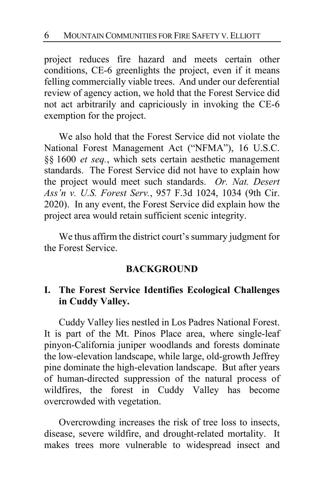project reduces fire hazard and meets certain other conditions, CE-6 greenlights the project, even if it means felling commercially viable trees. And under our deferential review of agency action, we hold that the Forest Service did not act arbitrarily and capriciously in invoking the CE-6 exemption for the project.

We also hold that the Forest Service did not violate the National Forest Management Act ("NFMA"), 16 U.S.C. §§ 1600 *et seq.*, which sets certain aesthetic management standards. The Forest Service did not have to explain how the project would meet such standards. *Or. Nat. Desert Ass'n v. U.S. Forest Serv.*, 957 F.3d 1024, 1034 (9th Cir. 2020). In any event, the Forest Service did explain how the project area would retain sufficient scenic integrity.

We thus affirm the district court's summary judgment for the Forest Service.

#### **BACKGROUND**

#### **I. The Forest Service Identifies Ecological Challenges in Cuddy Valley.**

Cuddy Valley lies nestled in Los Padres National Forest. It is part of the Mt. Pinos Place area, where single-leaf pinyon-California juniper woodlands and forests dominate the low-elevation landscape, while large, old-growth Jeffrey pine dominate the high-elevation landscape. But after years of human-directed suppression of the natural process of wildfires, the forest in Cuddy Valley has become overcrowded with vegetation.

Overcrowding increases the risk of tree loss to insects, disease, severe wildfire, and drought-related mortality. It makes trees more vulnerable to widespread insect and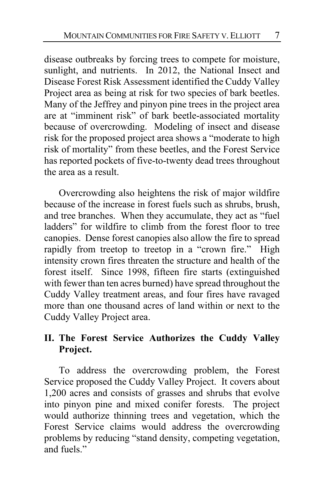disease outbreaks by forcing trees to compete for moisture, sunlight, and nutrients. In 2012, the National Insect and Disease Forest Risk Assessment identified the Cuddy Valley Project area as being at risk for two species of bark beetles. Many of the Jeffrey and pinyon pine trees in the project area are at "imminent risk" of bark beetle-associated mortality because of overcrowding. Modeling of insect and disease risk for the proposed project area shows a "moderate to high risk of mortality" from these beetles, and the Forest Service has reported pockets of five-to-twenty dead trees throughout the area as a result.

Overcrowding also heightens the risk of major wildfire because of the increase in forest fuels such as shrubs, brush, and tree branches. When they accumulate, they act as "fuel ladders" for wildfire to climb from the forest floor to tree canopies. Dense forest canopies also allow the fire to spread rapidly from treetop to treetop in a "crown fire." High intensity crown fires threaten the structure and health of the forest itself. Since 1998, fifteen fire starts (extinguished with fewer than ten acres burned) have spread throughout the Cuddy Valley treatment areas, and four fires have ravaged more than one thousand acres of land within or next to the Cuddy Valley Project area.

#### **II. The Forest Service Authorizes the Cuddy Valley Project.**

To address the overcrowding problem, the Forest Service proposed the Cuddy Valley Project. It covers about 1,200 acres and consists of grasses and shrubs that evolve into pinyon pine and mixed conifer forests. The project would authorize thinning trees and vegetation, which the Forest Service claims would address the overcrowding problems by reducing "stand density, competing vegetation, and fuels."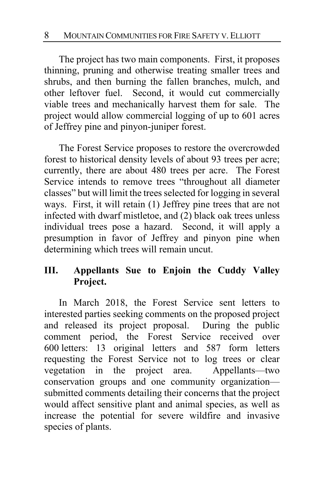The project has two main components. First, it proposes thinning, pruning and otherwise treating smaller trees and shrubs, and then burning the fallen branches, mulch, and other leftover fuel. Second, it would cut commercially viable trees and mechanically harvest them for sale. The project would allow commercial logging of up to 601 acres of Jeffrey pine and pinyon-juniper forest.

The Forest Service proposes to restore the overcrowded forest to historical density levels of about 93 trees per acre; currently, there are about 480 trees per acre. The Forest Service intends to remove trees "throughout all diameter classes" but will limit the trees selected for logging in several ways. First, it will retain (1) Jeffrey pine trees that are not infected with dwarf mistletoe, and (2) black oak trees unless individual trees pose a hazard. Second, it will apply a presumption in favor of Jeffrey and pinyon pine when determining which trees will remain uncut.

# **III. Appellants Sue to Enjoin the Cuddy Valley Project.**

In March 2018, the Forest Service sent letters to interested parties seeking comments on the proposed project and released its project proposal. During the public comment period, the Forest Service received over 600 letters: 13 original letters and 587 form letters requesting the Forest Service not to log trees or clear vegetation in the project area. Appellants—two conservation groups and one community organization submitted comments detailing their concerns that the project would affect sensitive plant and animal species, as well as increase the potential for severe wildfire and invasive species of plants.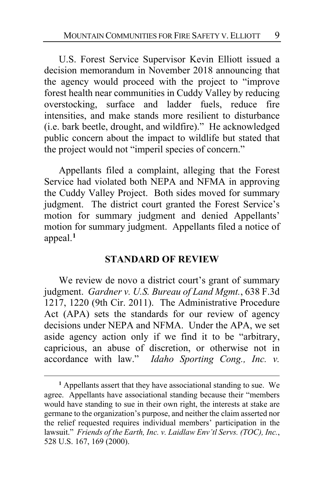U.S. Forest Service Supervisor Kevin Elliott issued a decision memorandum in November 2018 announcing that the agency would proceed with the project to "improve forest health near communities in Cuddy Valley by reducing overstocking, surface and ladder fuels, reduce fire intensities, and make stands more resilient to disturbance (i.e. bark beetle, drought, and wildfire)." He acknowledged public concern about the impact to wildlife but stated that the project would not "imperil species of concern."

Appellants filed a complaint, alleging that the Forest Service had violated both NEPA and NFMA in approving the Cuddy Valley Project. Both sides moved for summary judgment. The district court granted the Forest Service's motion for summary judgment and denied Appellants' motion for summary judgment. Appellants filed a notice of appeal. **[1](#page-8-0)**

#### **STANDARD OF REVIEW**

We review de novo a district court's grant of summary judgment. *Gardner v. U.S. Bureau of Land Mgmt.*, 638 F.3d 1217, 1220 (9th Cir. 2011). The Administrative Procedure Act (APA) sets the standards for our review of agency decisions under NEPA and NFMA. Under the APA, we set aside agency action only if we find it to be "arbitrary, capricious, an abuse of discretion, or otherwise not in accordance with law." *Idaho Sporting Cong., Inc. v.* 

<span id="page-8-0"></span>**<sup>1</sup>** Appellants assert that they have associational standing to sue. We agree. Appellants have associational standing because their "members would have standing to sue in their own right, the interests at stake are germane to the organization's purpose, and neither the claim asserted nor the relief requested requires individual members' participation in the lawsuit." *Friends of the Earth, Inc. v. Laidlaw Env'tl Servs. (TOC), Inc.*, 528 U.S. 167, 169 (2000).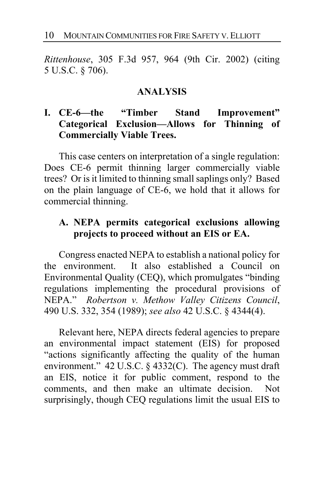*Rittenhouse*, 305 F.3d 957, 964 (9th Cir. 2002) (citing 5 U.S.C. § 706).

#### **ANALYSIS**

# **I. CE-6—the "Timber Stand Improvement" Categorical Exclusion—Allows for Thinning of Commercially Viable Trees.**

This case centers on interpretation of a single regulation: Does CE-6 permit thinning larger commercially viable trees? Or is it limited to thinning small saplings only? Based on the plain language of CE-6, we hold that it allows for commercial thinning.

# **A. NEPA permits categorical exclusions allowing projects to proceed without an EIS or EA.**

Congress enacted NEPA to establish a national policy for the environment. It also established a Council on Environmental Quality (CEQ), which promulgates "binding regulations implementing the procedural provisions of NEPA." *Robertson v. Methow Valley Citizens Council*, 490 U.S. 332, 354 (1989); *see also* 42 U.S.C. § 4344(4).

Relevant here, NEPA directs federal agencies to prepare an environmental impact statement (EIS) for proposed "actions significantly affecting the quality of the human environment." 42 U.S.C. § 4332(C). The agency must draft an EIS, notice it for public comment, respond to the comments, and then make an ultimate decision. Not surprisingly, though CEQ regulations limit the usual EIS to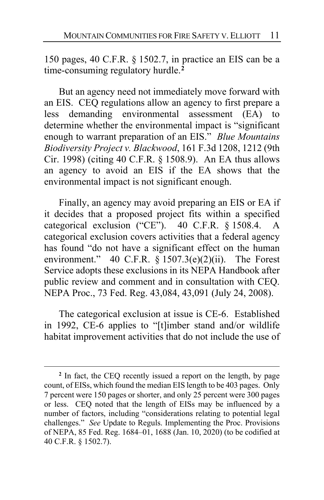150 pages, 40 C.F.R. § 1502.7, in practice an EIS can be a time-consuming regulatory hurdle.**[2](#page-10-0)**

But an agency need not immediately move forward with an EIS. CEQ regulations allow an agency to first prepare a less demanding environmental assessment (EA) to determine whether the environmental impact is "significant enough to warrant preparation of an EIS." *Blue Mountains Biodiversity Project v. Blackwood*, 161 F.3d 1208, 1212 (9th Cir. 1998) (citing 40 C.F.R. § 1508.9). An EA thus allows an agency to avoid an EIS if the EA shows that the environmental impact is not significant enough.

Finally, an agency may avoid preparing an EIS or EA if it decides that a proposed project fits within a specified categorical exclusion ("CE"). 40 C.F.R. § 1508.4. A categorical exclusion covers activities that a federal agency has found "do not have a significant effect on the human environment." 40 C.F.R.  $\frac{1507.3(e)}{2(ii)}$ . The Forest Service adopts these exclusions in its NEPA Handbook after public review and comment and in consultation with CEQ. NEPA Proc., 73 Fed. Reg. 43,084, 43,091 (July 24, 2008).

The categorical exclusion at issue is CE-6. Established in 1992, CE-6 applies to "[t]imber stand and/or wildlife habitat improvement activities that do not include the use of

<span id="page-10-0"></span>**<sup>2</sup>** In fact, the CEQ recently issued a report on the length, by page count, of EISs, which found the median EIS length to be 403 pages. Only 7 percent were 150 pages or shorter, and only 25 percent were 300 pages or less. CEQ noted that the length of EISs may be influenced by a number of factors, including "considerations relating to potential legal challenges." *See* Update to Reguls. Implementing the Proc. Provisions of NEPA, 85 Fed. Reg. 1684–01, 1688 (Jan. 10, 2020) (to be codified at 40 C.F.R. § 1502.7).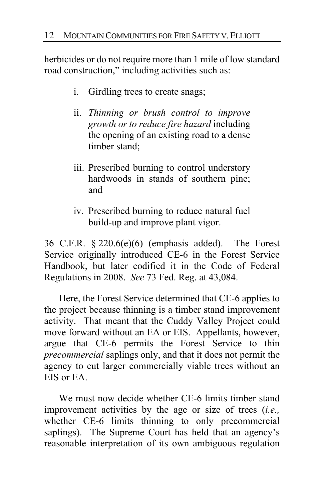herbicides or do not require more than 1 mile of low standard road construction," including activities such as:

- i. Girdling trees to create snags;
- ii. *Thinning or brush control to improve growth or to reduce fire hazard* including the opening of an existing road to a dense timber stand;
- iii. Prescribed burning to control understory hardwoods in stands of southern pine; and
- iv. Prescribed burning to reduce natural fuel build-up and improve plant vigor.

36 C.F.R. § 220.6(e)(6) (emphasis added). The Forest Service originally introduced CE-6 in the Forest Service Handbook, but later codified it in the Code of Federal Regulations in 2008. *See* 73 Fed. Reg. at 43,084.

Here, the Forest Service determined that CE-6 applies to the project because thinning is a timber stand improvement activity. That meant that the Cuddy Valley Project could move forward without an EA or EIS.Appellants, however, argue that CE-6 permits the Forest Service to thin *precommercial* saplings only, and that it does not permit the agency to cut larger commercially viable trees without an EIS or EA.

We must now decide whether CE-6 limits timber stand improvement activities by the age or size of trees (*i.e.,* whether CE-6 limits thinning to only precommercial saplings). The Supreme Court has held that an agency's reasonable interpretation of its own ambiguous regulation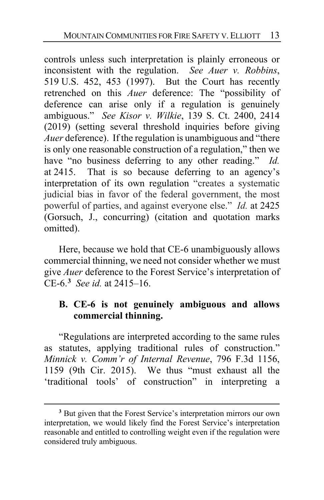controls unless such interpretation is plainly erroneous or inconsistent with the regulation. *See Auer v. Robbins*, 519 U.S. 452, 453 (1997). But the Court has recently retrenched on this *Auer* deference: The "possibility of deference can arise only if a regulation is genuinely ambiguous." *See Kisor v. Wilkie*, 139 S. Ct. 2400, 2414 (2019) (setting several threshold inquiries before giving *Auer* deference). If the regulation is unambiguous and "there is only one reasonable construction of a regulation," then we have "no business deferring to any other reading." *Id.* at 2415. That is so because deferring to an agency's interpretation of its own regulation "creates a systematic judicial bias in favor of the federal government, the most powerful of parties, and against everyone else." *Id.* at 2425 (Gorsuch, J., concurring) (citation and quotation marks omitted).

Here, because we hold that CE-6 unambiguously allows commercial thinning, we need not consider whether we must give *Auer* deference to the Forest Service's interpretation of CE-6.**[3](#page-12-0)** *See id.* at 2415–16.

## **B. CE-6 is not genuinely ambiguous and allows commercial thinning.**

"Regulations are interpreted according to the same rules as statutes, applying traditional rules of construction." *Minnick v. Comm'r of Internal Revenue*, 796 F.3d 1156, 1159 (9th Cir. 2015). We thus "must exhaust all the 'traditional tools' of construction" in interpreting a

<span id="page-12-0"></span>**<sup>3</sup>** But given that the Forest Service's interpretation mirrors our own interpretation, we would likely find the Forest Service's interpretation reasonable and entitled to controlling weight even if the regulation were considered truly ambiguous.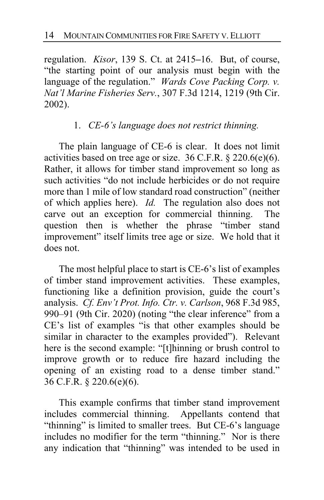regulation. *Kisor*, 139 S. Ct. at 2415**–**16. But, of course, "the starting point of our analysis must begin with the language of the regulation." *Wards Cove Packing Corp. v. Nat'l Marine Fisheries Serv.*, 307 F.3d 1214, 1219 (9th Cir. 2002).

#### 1. *CE-6's language does not restrict thinning.*

The plain language of CE-6 is clear. It does not limit activities based on tree age or size. 36 C.F.R. § 220.6(e)(6). Rather, it allows for timber stand improvement so long as such activities "do not include herbicides or do not require more than 1 mile of low standard road construction" (neither of which applies here). *Id.* The regulation also does not carve out an exception for commercial thinning. The question then is whether the phrase "timber stand improvement" itself limits tree age or size. We hold that it does not.

The most helpful place to start is CE-6's list of examples of timber stand improvement activities. These examples, functioning like a definition provision, guide the court's analysis. *Cf. Env't Prot. Info. Ctr. v. Carlson*, 968 F.3d 985, 990–91 (9th Cir. 2020) (noting "the clear inference" from a CE's list of examples "is that other examples should be similar in character to the examples provided"). Relevant here is the second example: "[t]hinning or brush control to improve growth or to reduce fire hazard including the opening of an existing road to a dense timber stand." 36 C.F.R. § 220.6(e)(6).

This example confirms that timber stand improvement includes commercial thinning. Appellants contend that "thinning" is limited to smaller trees. But CE-6's language includes no modifier for the term "thinning." Nor is there any indication that "thinning" was intended to be used in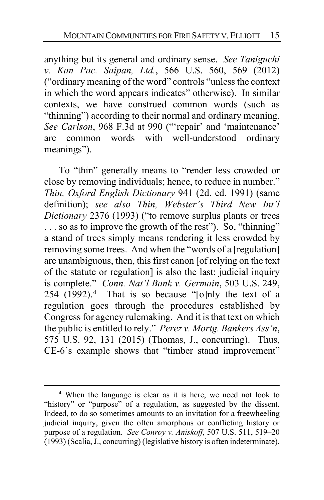anything but its general and ordinary sense. *See Taniguchi v. Kan Pac. Saipan, Ltd.*, 566 U.S. 560, 569 (2012) ("ordinary meaning of the word" controls "unless the context in which the word appears indicates" otherwise). In similar contexts, we have construed common words (such as "thinning") according to their normal and ordinary meaning. *See Carlson*, 968 F.3d at 990 ("'repair' and 'maintenance' are common words with well-understood ordinary meanings").

To "thin" generally means to "render less crowded or close by removing individuals; hence, to reduce in number." *Thin, Oxford English Dictionary* 941 (2d. ed. 1991) (same definition); *see also Thin, Webster's Third New Int'l Dictionary* 2376 (1993) ("to remove surplus plants or trees . . . so as to improve the growth of the rest"). So, "thinning" a stand of trees simply means rendering it less crowded by removing some trees. And when the "words of a [regulation] are unambiguous, then, this first canon [of relying on the text of the statute or regulation] is also the last: judicial inquiry is complete." *Conn. Nat'l Bank v. Germain*, 503 U.S. 249, 254 (1992).**[4](#page-14-0)** That is so because "[o]nly the text of a regulation goes through the procedures established by Congress for agency rulemaking. And it is that text on which the public is entitled to rely." *Perez v. Mortg. Bankers Ass'n*, 575 U.S. 92, 131 (2015) (Thomas, J., concurring). Thus, CE-6's example shows that "timber stand improvement"

<span id="page-14-0"></span>**<sup>4</sup>** When the language is clear as it is here, we need not look to "history" or "purpose" of a regulation, as suggested by the dissent. Indeed, to do so sometimes amounts to an invitation for a freewheeling judicial inquiry, given the often amorphous or conflicting history or purpose of a regulation. *See Conroy v. Aniskoff*, 507 U.S. 511, 519–20 (1993) (Scalia, J., concurring) (legislative history is often indeterminate).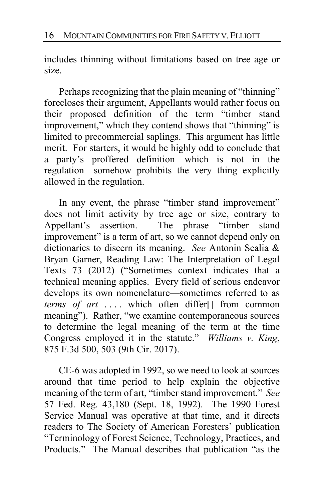includes thinning without limitations based on tree age or size.

Perhaps recognizing that the plain meaning of "thinning" forecloses their argument, Appellants would rather focus on their proposed definition of the term "timber stand improvement," which they contend shows that "thinning" is limited to precommercial saplings.This argument has little merit. For starters, it would be highly odd to conclude that a party's proffered definition—which is not in the regulation—somehow prohibits the very thing explicitly allowed in the regulation.

In any event, the phrase "timber stand improvement" does not limit activity by tree age or size, contrary to Appellant's assertion. The phrase "timber stand improvement" is a term of art, so we cannot depend only on dictionaries to discern its meaning. *See* Antonin Scalia & Bryan Garner, Reading Law: The Interpretation of Legal Texts 73 (2012) ("Sometimes context indicates that a technical meaning applies. Every field of serious endeavor develops its own nomenclature—sometimes referred to as *terms of art* . . . . which often differ[] from common meaning"). Rather, "we examine contemporaneous sources to determine the legal meaning of the term at the time Congress employed it in the statute." *Williams v. King*, 875 F.3d 500, 503 (9th Cir. 2017).

CE-6 was adopted in 1992, so we need to look at sources around that time period to help explain the objective meaning of the term of art, "timber stand improvement." *See*  57 Fed. Reg. 43,180 (Sept. 18, 1992). The 1990 Forest Service Manual was operative at that time, and it directs readers to The Society of American Foresters' publication "Terminology of Forest Science, Technology, Practices, and Products." The Manual describes that publication "as the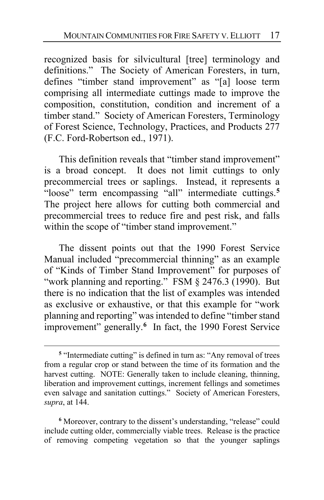recognized basis for silvicultural [tree] terminology and definitions."The Society of American Foresters, in turn, defines "timber stand improvement" as "[a] loose term comprising all intermediate cuttings made to improve the composition, constitution, condition and increment of a timber stand." Society of American Foresters, Terminology of Forest Science, Technology, Practices, and Products 277 (F.C. Ford-Robertson ed., 1971).

This definition reveals that "timber stand improvement" is a broad concept. It does not limit cuttings to only precommercial trees or saplings. Instead, it represents a "loose" term encompassing "all" intermediate cuttings.**[5](#page-16-0)** The project here allows for cutting both commercial and precommercial trees to reduce fire and pest risk, and falls within the scope of "timber stand improvement."

The dissent points out that the 1990 Forest Service Manual included "precommercial thinning" as an example of "Kinds of Timber Stand Improvement" for purposes of "work planning and reporting." FSM § 2476.3 (1990). But there is no indication that the list of examples was intended as exclusive or exhaustive, or that this example for "work planning and reporting" was intended to define "timber stand improvement" generally.<sup>[6](#page-16-1)</sup> In fact, the 1990 Forest Service

<span id="page-16-1"></span>**<sup>6</sup>** Moreover, contrary to the dissent's understanding, "release" could include cutting older, commercially viable trees. Release is the practice of removing competing vegetation so that the younger saplings

<span id="page-16-0"></span>**<sup>5</sup>** "Intermediate cutting" is defined in turn as: "Any removal of trees from a regular crop or stand between the time of its formation and the harvest cutting. NOTE: Generally taken to include cleaning, thinning, liberation and improvement cuttings, increment fellings and sometimes even salvage and sanitation cuttings." Society of American Foresters, *supra*, at 144.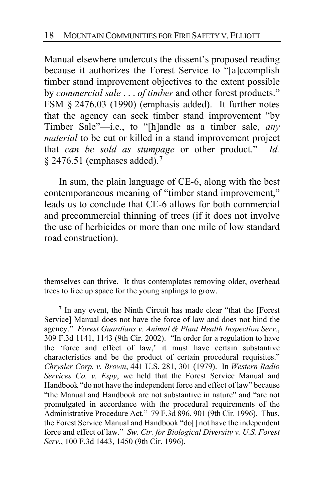Manual elsewhere undercuts the dissent's proposed reading because it authorizes the Forest Service to "[a]ccomplish timber stand improvement objectives to the extent possible by *commercial sale* . . . *of timber* and other forest products." FSM § 2476.03 (1990) (emphasis added). It further notes that the agency can seek timber stand improvement "by Timber Sale"—i.e., to "[h]andle as a timber sale, *any material* to be cut or killed in a stand improvement project that *can be sold as stumpage* or other product." *Id.* § 2476.51 (emphases added).**[7](#page-17-0)**

In sum, the plain language of CE-6, along with the best contemporaneous meaning of "timber stand improvement," leads us to conclude that CE-6 allows for both commercial and precommercial thinning of trees (if it does not involve the use of herbicides or more than one mile of low standard road construction).

themselves can thrive. It thus contemplates removing older, overhead trees to free up space for the young saplings to grow.

<span id="page-17-0"></span>**<sup>7</sup>** In any event, the Ninth Circuit has made clear "that the [Forest Service] Manual does not have the force of law and does not bind the agency." *Forest Guardians v. Animal & Plant Health Inspection Serv.*, 309 F.3d 1141, 1143 (9th Cir. 2002). "In order for a regulation to have the 'force and effect of law,' it must have certain substantive characteristics and be the product of certain procedural requisites." *Chrysler Corp. v. Brown*, 441 U.S. 281, 301 (1979). In *Western Radio Services Co. v. Espy*, we held that the Forest Service Manual and Handbook "do not have the independent force and effect of law" because "the Manual and Handbook are not substantive in nature" and "are not promulgated in accordance with the procedural requirements of the Administrative Procedure Act." 79 F.3d 896, 901 (9th Cir. 1996). Thus, the Forest Service Manual and Handbook "do[] not have the independent force and effect of law." *Sw. Ctr. for Biological Diversity v. U.S. Forest Serv.*, 100 F.3d 1443, 1450 (9th Cir. 1996).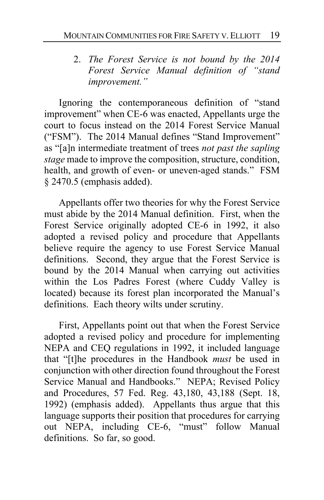# 2. *The Forest Service is not bound by the 2014 Forest Service Manual definition of "stand improvement."*

Ignoring the contemporaneous definition of "stand improvement" when CE-6 was enacted, Appellants urge the court to focus instead on the 2014 Forest Service Manual ("FSM"). The 2014 Manual defines "Stand Improvement" as "[a]n intermediate treatment of trees *not past the sapling stage* made to improve the composition, structure, condition, health, and growth of even- or uneven-aged stands." FSM § 2470.5 (emphasis added).

Appellants offer two theories for why the Forest Service must abide by the 2014 Manual definition. First, when the Forest Service originally adopted CE-6 in 1992, it also adopted a revised policy and procedure that Appellants believe require the agency to use Forest Service Manual definitions. Second, they argue that the Forest Service is bound by the 2014 Manual when carrying out activities within the Los Padres Forest (where Cuddy Valley is located) because its forest plan incorporated the Manual's definitions. Each theory wilts under scrutiny.

First, Appellants point out that when the Forest Service adopted a revised policy and procedure for implementing NEPA and CEQ regulations in 1992, it included language that "[t]he procedures in the Handbook *must* be used in conjunction with other direction found throughout the Forest Service Manual and Handbooks." NEPA; Revised Policy and Procedures, 57 Fed. Reg. 43,180, 43,188 (Sept. 18, 1992) (emphasis added). Appellants thus argue that this language supports their position that procedures for carrying out NEPA, including CE-6, "must" follow Manual definitions. So far, so good.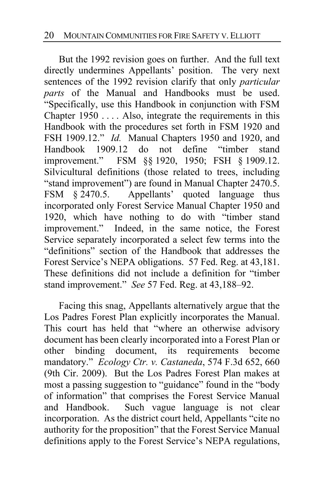But the 1992 revision goes on further. And the full text directly undermines Appellants' position. The very next sentences of the 1992 revision clarify that only *particular parts* of the Manual and Handbooks must be used. "Specifically, use this Handbook in conjunction with FSM Chapter  $1950...$  Also, integrate the requirements in this Handbook with the procedures set forth in FSM 1920 and FSH 1909.12." *Id.* Manual Chapters 1950 and 1920, and Handbook 1909.12 do not define "timber stand improvement." FSM §§ 1920, 1950; FSH § 1909.12. Silvicultural definitions (those related to trees, including "stand improvement") are found in Manual Chapter 2470.5. FSM § 2470.5. Appellants' quoted language thus incorporated only Forest Service Manual Chapter 1950 and 1920, which have nothing to do with "timber stand improvement." Indeed, in the same notice, the Forest Service separately incorporated a select few terms into the "definitions" section of the Handbook that addresses the Forest Service's NEPA obligations. 57 Fed. Reg. at 43,181. These definitions did not include a definition for "timber stand improvement." *See* 57 Fed. Reg. at 43,188–92.

Facing this snag, Appellants alternatively argue that the Los Padres Forest Plan explicitly incorporates the Manual. This court has held that "where an otherwise advisory document has been clearly incorporated into a Forest Plan or other binding document, its requirements become mandatory." *Ecology Ctr. v. Castaneda*, 574 F.3d 652, 660 (9th Cir. 2009). But the Los Padres Forest Plan makes at most a passing suggestion to "guidance" found in the "body of information" that comprises the Forest Service Manual and Handbook. Such vague language is not clear incorporation. As the district court held, Appellants "cite no authority for the proposition" that the Forest Service Manual definitions apply to the Forest Service's NEPA regulations,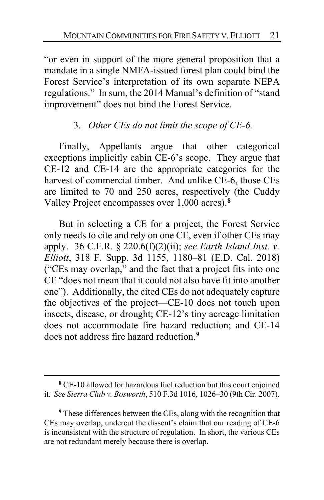"or even in support of the more general proposition that a mandate in a single NMFA-issued forest plan could bind the Forest Service's interpretation of its own separate NEPA regulations." In sum, the 2014 Manual's definition of "stand improvement" does not bind the Forest Service.

## 3. *Other CEs do not limit the scope of CE-6.*

Finally, Appellants argue that other categorical exceptions implicitly cabin CE-6's scope. They argue that CE-12 and CE-14 are the appropriate categories for the harvest of commercial timber. And unlike CE-6, those CEs are limited to 70 and 250 acres, respectively (the Cuddy Valley Project encompasses over 1,000 acres).**[8](#page-20-0)**

But in selecting a CE for a project, the Forest Service only needs to cite and rely on one CE, even if other CEs may apply. 36 C.F.R. § 220.6(f)(2)(ii); *see Earth Island Inst. v. Elliott*, 318 F. Supp. 3d 1155, 1180–81 (E.D. Cal. 2018) ("CEs may overlap," and the fact that a project fits into one CE "does not mean that it could not also have fit into another one"). Additionally, the cited CEs do not adequately capture the objectives of the project—CE-10 does not touch upon insects, disease, or drought; CE-12's tiny acreage limitation does not accommodate fire hazard reduction; and CE-14 does not address fire hazard reduction.**[9](#page-20-1)**

<span id="page-20-0"></span>**<sup>8</sup>** CE-10 allowed for hazardous fuel reduction but this court enjoined it. *See Sierra Club v. Bosworth*, 510 F.3d 1016, 1026–30 (9th Cir. 2007).

<span id="page-20-1"></span>**<sup>9</sup>** These differences between the CEs, along with the recognition that CEs may overlap, undercut the dissent's claim that our reading of CE-6 is inconsistent with the structure of regulation. In short, the various CEs are not redundant merely because there is overlap.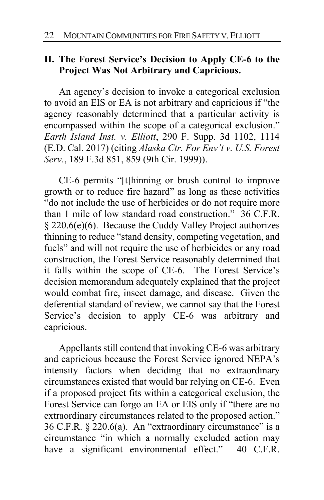#### **II. The Forest Service's Decision to Apply CE-6 to the Project Was Not Arbitrary and Capricious.**

An agency's decision to invoke a categorical exclusion to avoid an EIS or EA is not arbitrary and capricious if "the agency reasonably determined that a particular activity is encompassed within the scope of a categorical exclusion." *Earth Island Inst. v. Elliott*, 290 F. Supp. 3d 1102, 1114 (E.D. Cal. 2017) (citing *Alaska Ctr. For Env't v. U.S. Forest Serv.*, 189 F.3d 851, 859 (9th Cir. 1999)).

CE-6 permits "[t]hinning or brush control to improve growth or to reduce fire hazard" as long as these activities "do not include the use of herbicides or do not require more than 1 mile of low standard road construction." 36 C.F.R. § 220.6(e)(6). Because the Cuddy Valley Project authorizes thinning to reduce "stand density, competing vegetation, and fuels" and will not require the use of herbicides or any road construction, the Forest Service reasonably determined that it falls within the scope of CE-6. The Forest Service's decision memorandum adequately explained that the project would combat fire, insect damage, and disease. Given the deferential standard of review, we cannot say that the Forest Service's decision to apply CE-6 was arbitrary and capricious.

Appellants still contend that invoking CE-6 was arbitrary and capricious because the Forest Service ignored NEPA's intensity factors when deciding that no extraordinary circumstances existed that would bar relying on CE-6. Even if a proposed project fits within a categorical exclusion, the Forest Service can forgo an EA or EIS only if "there are no extraordinary circumstances related to the proposed action." 36 C.F.R. § 220.6(a). An "extraordinary circumstance" is a circumstance "in which a normally excluded action may have a significant environmental effect." 40 C.F.R.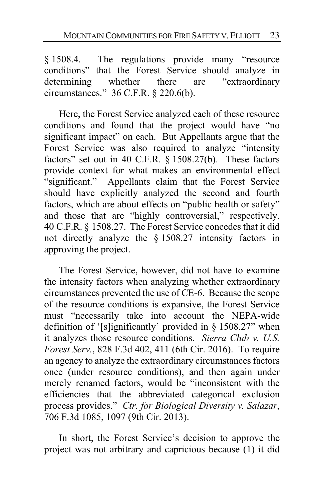§ 1508.4. The regulations provide many "resource conditions" that the Forest Service should analyze in determining whether there are "extraordinary circumstances." 36 C.F.R. § 220.6(b).

Here, the Forest Service analyzed each of these resource conditions and found that the project would have "no significant impact" on each. But Appellants argue that the Forest Service was also required to analyze "intensity factors" set out in 40 C.F.R. § 1508.27(b). These factors provide context for what makes an environmental effect "significant." Appellants claim that the Forest Service should have explicitly analyzed the second and fourth factors, which are about effects on "public health or safety" and those that are "highly controversial," respectively. 40 C.F.R. § 1508.27. The Forest Service concedes that it did not directly analyze the § 1508.27 intensity factors in approving the project.

The Forest Service, however, did not have to examine the intensity factors when analyzing whether extraordinary circumstances prevented the use of CE-6. Because the scope of the resource conditions is expansive, the Forest Service must "necessarily take into account the NEPA-wide definition of '[s]ignificantly' provided in § 1508.27" when it analyzes those resource conditions. *Sierra Club v. U.S. Forest Serv.*, 828 F.3d 402, 411 (6th Cir. 2016). To require an agency to analyze the extraordinary circumstances factors once (under resource conditions), and then again under merely renamed factors, would be "inconsistent with the efficiencies that the abbreviated categorical exclusion process provides." *Ctr. for Biological Diversity v. Salazar*, 706 F.3d 1085, 1097 (9th Cir. 2013).

In short, the Forest Service's decision to approve the project was not arbitrary and capricious because (1) it did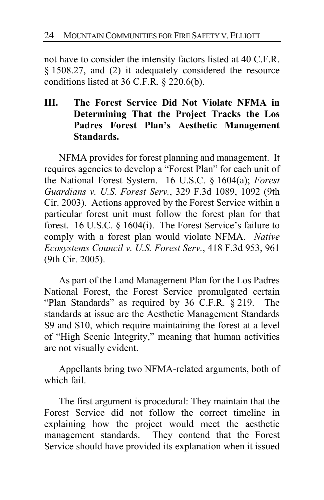not have to consider the intensity factors listed at 40 C.F.R. § 1508.27, and (2) it adequately considered the resource conditions listed at 36 C.F.R. § 220.6(b).

# **III. The Forest Service Did Not Violate NFMA in Determining That the Project Tracks the Los Padres Forest Plan's Aesthetic Management Standards.**

NFMA provides for forest planning and management. It requires agencies to develop a "Forest Plan" for each unit of the National Forest System. 16 U.S.C. § 1604(a); *Forest Guardians v. U.S. Forest Serv.*, 329 F.3d 1089, 1092 (9th Cir. 2003). Actions approved by the Forest Service within a particular forest unit must follow the forest plan for that forest. 16 U.S.C. § 1604(i). The Forest Service's failure to comply with a forest plan would violate NFMA. *Native Ecosystems Council v. U.S. Forest Serv.*, 418 F.3d 953, 961 (9th Cir. 2005).

As part of the Land Management Plan for the Los Padres National Forest, the Forest Service promulgated certain "Plan Standards" as required by 36 C.F.R. § 219. The standards at issue are the Aesthetic Management Standards S9 and S10, which require maintaining the forest at a level of "High Scenic Integrity," meaning that human activities are not visually evident.

Appellants bring two NFMA-related arguments, both of which fail.

The first argument is procedural: They maintain that the Forest Service did not follow the correct timeline in explaining how the project would meet the aesthetic management standards. They contend that the Forest Service should have provided its explanation when it issued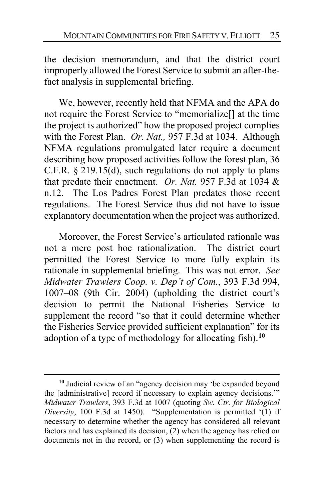the decision memorandum, and that the district court improperly allowed the Forest Service to submit an after-thefact analysis in supplemental briefing.

We, however, recently held that NFMA and the APA do not require the Forest Service to "memorialize[] at the time the project is authorized" how the proposed project complies with the Forest Plan. *Or. Nat.,* 957 F.3d at 1034. Although NFMA regulations promulgated later require a document describing how proposed activities follow the forest plan, 36 C.F.R.  $\S$  219.15(d), such regulations do not apply to plans that predate their enactment. *Or. Nat.* 957 F.3d at 1034 & n.12. The Los Padres Forest Plan predates those recent regulations. The Forest Service thus did not have to issue explanatory documentation when the project was authorized.

Moreover, the Forest Service's articulated rationale was not a mere post hoc rationalization. The district court permitted the Forest Service to more fully explain its rationale in supplemental briefing. This was not error. *See Midwater Trawlers Coop. v. Dep't of Com.*, 393 F.3d 994, 1007**–**08 (9th Cir. 2004) (upholding the district court's decision to permit the National Fisheries Service to supplement the record "so that it could determine whether the Fisheries Service provided sufficient explanation" for its adoption of a type of methodology for allocating fish).**[10](#page-24-0)**

<span id="page-24-0"></span>**<sup>10</sup>** Judicial review of an "agency decision may 'be expanded beyond the [administrative] record if necessary to explain agency decisions.'" *Midwater Trawlers*, 393 F.3d at 1007 (quoting *Sw. Ctr. for Biological Diversity*, 100 F.3d at 1450). "Supplementation is permitted '(1) if necessary to determine whether the agency has considered all relevant factors and has explained its decision, (2) when the agency has relied on documents not in the record, or (3) when supplementing the record is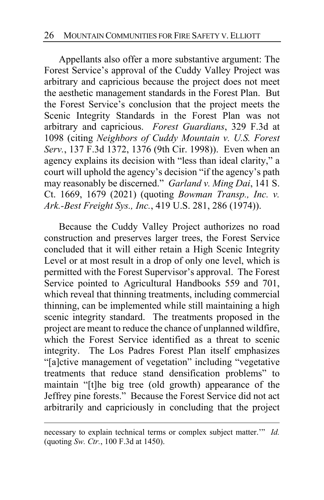Appellants also offer a more substantive argument: The Forest Service's approval of the Cuddy Valley Project was arbitrary and capricious because the project does not meet the aesthetic management standards in the Forest Plan. But the Forest Service's conclusion that the project meets the Scenic Integrity Standards in the Forest Plan was not arbitrary and capricious. *Forest Guardians*, 329 F.3d at 1098 (citing *Neighbors of Cuddy Mountain v. U.S. Forest Serv.*, 137 F.3d 1372, 1376 (9th Cir. 1998)). Even when an agency explains its decision with "less than ideal clarity," a court will uphold the agency's decision "if the agency's path may reasonably be discerned." *Garland v. Ming Dai*, 141 S. Ct. 1669, 1679 (2021) (quoting *Bowman Transp., Inc. v. Ark.-Best Freight Sys., Inc.*, 419 U.S. 281, 286 (1974)).

Because the Cuddy Valley Project authorizes no road construction and preserves larger trees, the Forest Service concluded that it will either retain a High Scenic Integrity Level or at most result in a drop of only one level, which is permitted with the Forest Supervisor's approval. The Forest Service pointed to Agricultural Handbooks 559 and 701, which reveal that thinning treatments, including commercial thinning, can be implemented while still maintaining a high scenic integrity standard. The treatments proposed in the project are meant to reduce the chance of unplanned wildfire, which the Forest Service identified as a threat to scenic integrity. The Los Padres Forest Plan itself emphasizes "[a]ctive management of vegetation" including "vegetative treatments that reduce stand densification problems" to maintain "[t]he big tree (old growth) appearance of the Jeffrey pine forests." Because the Forest Service did not act arbitrarily and capriciously in concluding that the project

necessary to explain technical terms or complex subject matter.'" *Id.*  (quoting *Sw. Ctr.*, 100 F.3d at 1450).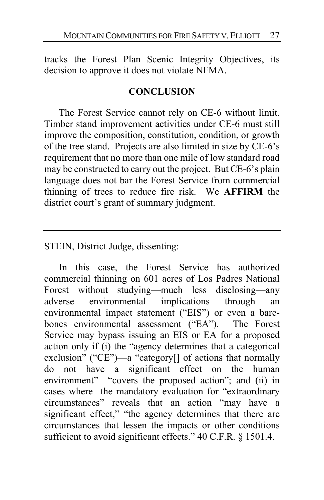tracks the Forest Plan Scenic Integrity Objectives, its decision to approve it does not violate NFMA.

#### **CONCLUSION**

The Forest Service cannot rely on CE-6 without limit. Timber stand improvement activities under CE-6 must still improve the composition, constitution, condition, or growth of the tree stand. Projects are also limited in size by CE-6's requirement that no more than one mile of low standard road may be constructed to carry out the project. But CE-6's plain language does not bar the Forest Service from commercial thinning of trees to reduce fire risk. We **AFFIRM** the district court's grant of summary judgment.

STEIN, District Judge, dissenting:

In this case, the Forest Service has authorized commercial thinning on 601 acres of Los Padres National Forest without studying—much less disclosing—any adverse environmental implications through an environmental impact statement ("EIS") or even a barebones environmental assessment ("EA"). The Forest Service may bypass issuing an EIS or EA for a proposed action only if (i) the "agency determines that a categorical exclusion" ("CE")—a "category<sup>[]</sup> of actions that normally do not have a significant effect on the human environment"—"covers the proposed action"; and (ii) in cases where the mandatory evaluation for "extraordinary circumstances" reveals that an action "may have a significant effect," "the agency determines that there are circumstances that lessen the impacts or other conditions sufficient to avoid significant effects." 40 C.F.R. § 1501.4.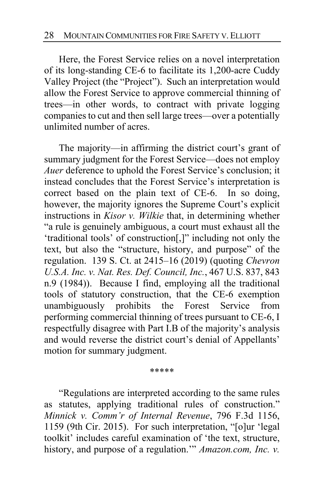Here, the Forest Service relies on a novel interpretation of its long-standing CE-6 to facilitate its 1,200-acre Cuddy Valley Project (the "Project"). Such an interpretation would allow the Forest Service to approve commercial thinning of trees—in other words, to contract with private logging companies to cut and then sell large trees—over a potentially unlimited number of acres.

The majority—in affirming the district court's grant of summary judgment for the Forest Service—does not employ *Auer* deference to uphold the Forest Service's conclusion; it instead concludes that the Forest Service's interpretation is correct based on the plain text of CE-6. In so doing, however, the majority ignores the Supreme Court's explicit instructions in *Kisor v. Wilkie* that, in determining whether "a rule is genuinely ambiguous, a court must exhaust all the 'traditional tools' of construction[,]" including not only the text, but also the "structure, history, and purpose" of the regulation. 139 S. Ct. at 2415–16 (2019) (quoting *Chevron U.S.A. Inc. v. Nat. Res. Def. Council, Inc.*, 467 U.S. 837, 843 n.9 (1984)). Because I find, employing all the traditional tools of statutory construction, that the CE-6 exemption unambiguously prohibits the Forest Service from performing commercial thinning of trees pursuant to CE-6, I respectfully disagree with Part I.B of the majority's analysis and would reverse the district court's denial of Appellants' motion for summary judgment.

\*\*\*\*\*

"Regulations are interpreted according to the same rules as statutes, applying traditional rules of construction." *Minnick v. Comm'r of Internal Revenue*, 796 F.3d 1156, 1159 (9th Cir. 2015). For such interpretation, "[o]ur 'legal toolkit' includes careful examination of 'the text, structure, history, and purpose of a regulation.'" *Amazon.com, Inc. v.*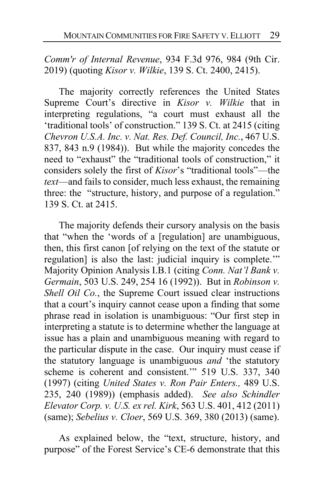*Comm'r of Internal Revenue*, 934 F.3d 976, 984 (9th Cir. 2019) (quoting *Kisor v. Wilkie*, 139 S. Ct. 2400, 2415).

The majority correctly references the United States Supreme Court's directive in *Kisor v. Wilkie* that in interpreting regulations, "a court must exhaust all the 'traditional tools' of construction." 139 S. Ct. at 2415 (citing *Chevron U.S.A. Inc. v. Nat. Res. Def. Council, Inc.*, 467 U.S. 837, 843 n.9 (1984)). But while the majority concedes the need to "exhaust" the "traditional tools of construction," it considers solely the first of *Kisor*'s "traditional tools"—the *text*—and fails to consider, much less exhaust, the remaining three: the "structure, history, and purpose of a regulation." 139 S. Ct. at 2415.

The majority defends their cursory analysis on the basis that "when the 'words of a [regulation] are unambiguous, then, this first canon [of relying on the text of the statute or regulation] is also the last: judicial inquiry is complete.'" Majority Opinion Analysis I.B.1 (citing *Conn. Nat'l Bank v. Germain*, 503 U.S. 249, 254 16 (1992)). But in *Robinson v. Shell Oil Co.*, the Supreme Court issued clear instructions that a court's inquiry cannot cease upon a finding that some phrase read in isolation is unambiguous: "Our first step in interpreting a statute is to determine whether the language at issue has a plain and unambiguous meaning with regard to the particular dispute in the case. Our inquiry must cease if the statutory language is unambiguous *and* 'the statutory scheme is coherent and consistent.'" 519 U.S. 337, 340 (1997) (citing *United States v. Ron Pair Enters.,* 489 U.S. 235, 240 (1989)) (emphasis added). *See also Schindler Elevator Corp. v. U.S. ex rel. Kirk*, 563 U.S. 401, 412 (2011) (same); *Sebelius v. Cloer*, 569 U.S. 369, 380 (2013) (same).

As explained below, the "text, structure, history, and purpose" of the Forest Service's CE-6 demonstrate that this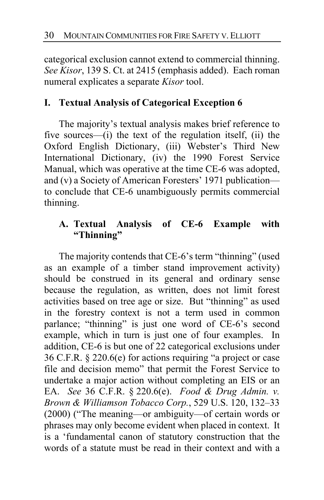categorical exclusion cannot extend to commercial thinning. *See Kisor*, 139 S. Ct. at 2415 (emphasis added). Each roman numeral explicates a separate *Kisor* tool.

# **I. Textual Analysis of Categorical Exception 6**

The majority's textual analysis makes brief reference to five sources—(i) the text of the regulation itself, (ii) the Oxford English Dictionary, (iii) Webster's Third New International Dictionary, (iv) the 1990 Forest Service Manual, which was operative at the time CE-6 was adopted, and (v) a Society of American Foresters' 1971 publication to conclude that CE-6 unambiguously permits commercial thinning.

## **A. Textual Analysis of CE-6 Example with "Thinning"**

The majority contends that CE-6's term "thinning" (used as an example of a timber stand improvement activity) should be construed in its general and ordinary sense because the regulation, as written, does not limit forest activities based on tree age or size. But "thinning" as used in the forestry context is not a term used in common parlance; "thinning" is just one word of CE-6's second example, which in turn is just one of four examples. In addition, CE-6 is but one of 22 categorical exclusions under 36 C.F.R. § 220.6(e) for actions requiring "a project or case file and decision memo" that permit the Forest Service to undertake a major action without completing an EIS or an EA. *See* 36 C.F.R. § 220.6(e). *Food & Drug Admin. v. Brown & Williamson Tobacco Corp.*, 529 U.S. 120, 132–33 (2000) ("The meaning—or ambiguity—of certain words or phrases may only become evident when placed in context. It is a 'fundamental canon of statutory construction that the words of a statute must be read in their context and with a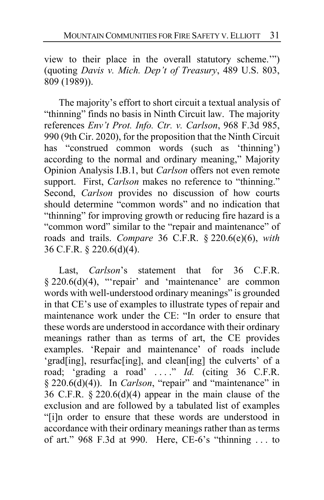view to their place in the overall statutory scheme.'") (quoting *Davis v. Mich. Dep't of Treasury*, 489 U.S. 803, 809 (1989)).

The majority's effort to short circuit a textual analysis of "thinning" finds no basis in Ninth Circuit law. The majority references *Env't Prot. Info. Ctr. v. Carlson*, 968 F.3d 985, 990 (9th Cir. 2020), for the proposition that the Ninth Circuit has "construed common words (such as 'thinning') according to the normal and ordinary meaning," Majority Opinion Analysis I.B.1, but *Carlson* offers not even remote support. First, *Carlson* makes no reference to "thinning." Second, *Carlson* provides no discussion of how courts should determine "common words" and no indication that "thinning" for improving growth or reducing fire hazard is a "common word" similar to the "repair and maintenance" of roads and trails. *Compare* 36 C.F.R. § 220.6(e)(6), *with*  36 C.F.R. § 220.6(d)(4).

Last, *Carlson*'s statement that for 36 C.F.R. § 220.6(d)(4), "'repair' and 'maintenance' are common words with well-understood ordinary meanings" is grounded in that CE's use of examples to illustrate types of repair and maintenance work under the CE: "In order to ensure that these words are understood in accordance with their ordinary meanings rather than as terms of art, the CE provides examples. 'Repair and maintenance' of roads include 'grad[ing], resurfac[ing], and clean[ing] the culverts' of a road; 'grading a road' . . . ." *Id.* (citing 36 C.F.R. § 220.6(d)(4)). In *Carlson*, "repair" and "maintenance" in 36 C.F.R.  $\S 220.6(d)(4)$  appear in the main clause of the exclusion and are followed by a tabulated list of examples "[i]n order to ensure that these words are understood in accordance with their ordinary meanings rather than as terms of art." 968 F.3d at 990. Here, CE-6's "thinning . . . to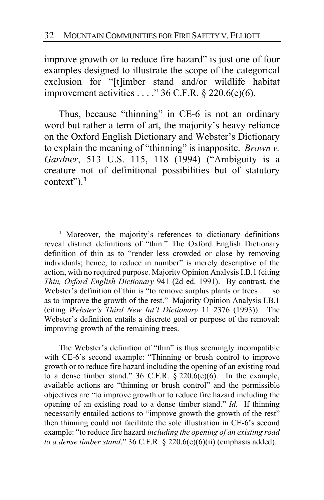improve growth or to reduce fire hazard" is just one of four examples designed to illustrate the scope of the categorical exclusion for "[t]imber stand and/or wildlife habitat improvement activities . . . ." 36 C.F.R. § 220.6(e)(6).

Thus, because "thinning" in CE-6 is not an ordinary word but rather a term of art, the majority's heavy reliance on the Oxford English Dictionary and Webster's Dictionary to explain the meaning of "thinning" is inapposite. *Brown v. Gardner*, 513 U.S. 115, 118 (1994) ("Ambiguity is a creature not of definitional possibilities but of statutory context").**[1](#page-31-0)**

The Webster's definition of "thin" is thus seemingly incompatible with CE-6's second example: "Thinning or brush control to improve growth or to reduce fire hazard including the opening of an existing road to a dense timber stand."  $36$  C.F.R.  $\S$  220.6(e)(6). In the example, available actions are "thinning or brush control" and the permissible objectives are "to improve growth or to reduce fire hazard including the opening of an existing road to a dense timber stand." *Id.* If thinning necessarily entailed actions to "improve growth the growth of the rest" then thinning could not facilitate the sole illustration in CE-6's second example: "to reduce fire hazard *including the opening of an existing road to a dense timber stand*." 36 C.F.R. § 220.6(e)(6)(ii) (emphasis added).

<span id="page-31-0"></span>**<sup>1</sup>** Moreover, the majority's references to dictionary definitions reveal distinct definitions of "thin." The Oxford English Dictionary definition of thin as to "render less crowded or close by removing individuals; hence, to reduce in number" is merely descriptive of the action, with no required purpose. Majority Opinion Analysis I.B.1 (citing *Thin, Oxford English Dictionary* 941 (2d ed. 1991). By contrast, the Webster's definition of thin is "to remove surplus plants or trees . . . so as to improve the growth of the rest." Majority Opinion Analysis I.B.1 (citing *Webster's Third New Int'l Dictionary* 11 2376 (1993)). The Webster's definition entails a discrete goal or purpose of the removal: improving growth of the remaining trees.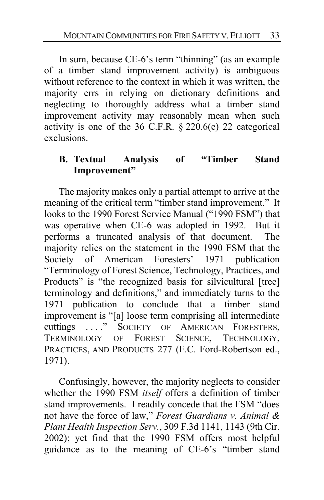In sum, because CE-6's term "thinning" (as an example of a timber stand improvement activity) is ambiguous without reference to the context in which it was written, the majority errs in relying on dictionary definitions and neglecting to thoroughly address what a timber stand improvement activity may reasonably mean when such activity is one of the 36 C.F.R.  $\S 220.6(e)$  22 categorical exclusions.

# **B. Textual Analysis of "Timber Stand Improvement"**

The majority makes only a partial attempt to arrive at the meaning of the critical term "timber stand improvement." It looks to the 1990 Forest Service Manual ("1990 FSM") that was operative when CE-6 was adopted in 1992. But it performs a truncated analysis of that document. The majority relies on the statement in the 1990 FSM that the Society of American Foresters' 1971 publication "Terminology of Forest Science, Technology, Practices, and Products" is "the recognized basis for silvicultural [tree] terminology and definitions," and immediately turns to the 1971 publication to conclude that a timber stand improvement is "[a] loose term comprising all intermediate cuttings ...." SOCIETY OF AMERICAN FORESTERS, TERMINOLOGY OF FOREST SCIENCE, TECHNOLOGY, PRACTICES, AND PRODUCTS 277 (F.C. Ford-Robertson ed., 1971).

Confusingly, however, the majority neglects to consider whether the 1990 FSM *itself* offers a definition of timber stand improvements. I readily concede that the FSM "does not have the force of law," *Forest Guardians v. Animal & Plant Health Inspection Serv.*, 309 F.3d 1141, 1143 (9th Cir. 2002); yet find that the 1990 FSM offers most helpful guidance as to the meaning of CE-6's "timber stand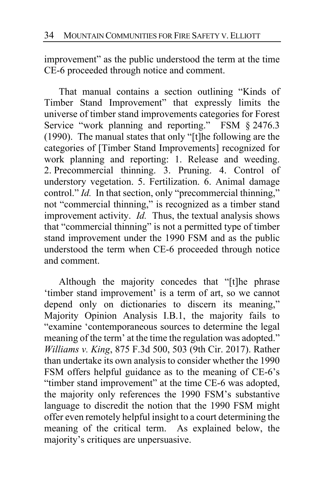improvement" as the public understood the term at the time CE-6 proceeded through notice and comment.

That manual contains a section outlining "Kinds of Timber Stand Improvement" that expressly limits the universe of timber stand improvements categories for Forest Service "work planning and reporting." FSM § 2476.3 (1990). The manual states that only "[t]he following are the categories of [Timber Stand Improvements] recognized for work planning and reporting: 1. Release and weeding. 2. Precommercial thinning. 3. Pruning. 4. Control of understory vegetation. 5. Fertilization. 6. Animal damage control." *Id.* In that section, only "precommercial thinning," not "commercial thinning," is recognized as a timber stand improvement activity. *Id.* Thus, the textual analysis shows that "commercial thinning" is not a permitted type of timber stand improvement under the 1990 FSM and as the public understood the term when CE-6 proceeded through notice and comment.

Although the majority concedes that "[t]he phrase 'timber stand improvement' is a term of art, so we cannot depend only on dictionaries to discern its meaning," Majority Opinion Analysis I.B.1, the majority fails to "examine 'contemporaneous sources to determine the legal meaning of the term' at the time the regulation was adopted." *Williams v. King*, 875 F.3d 500, 503 (9th Cir. 2017). Rather than undertake its own analysis to consider whether the 1990 FSM offers helpful guidance as to the meaning of CE-6's "timber stand improvement" at the time CE-6 was adopted, the majority only references the 1990 FSM's substantive language to discredit the notion that the 1990 FSM might offer even remotely helpful insight to a court determining the meaning of the critical term. As explained below, the majority's critiques are unpersuasive.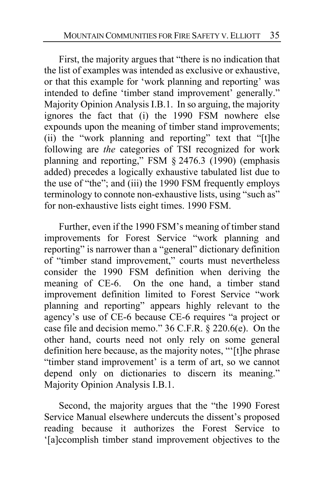First, the majority argues that "there is no indication that the list of examples was intended as exclusive or exhaustive, or that this example for 'work planning and reporting' was intended to define 'timber stand improvement' generally." Majority Opinion Analysis I.B.1. In so arguing, the majority ignores the fact that (i) the 1990 FSM nowhere else expounds upon the meaning of timber stand improvements; (ii) the "work planning and reporting" text that "[t]he following are *the* categories of TSI recognized for work planning and reporting," FSM § 2476.3 (1990) (emphasis added) precedes a logically exhaustive tabulated list due to the use of "the"; and (iii) the 1990 FSM frequently employs terminology to connote non-exhaustive lists, using "such as" for non-exhaustive lists eight times. 1990 FSM.

Further, even if the 1990 FSM's meaning of timber stand improvements for Forest Service "work planning and reporting" is narrower than a "general" dictionary definition of "timber stand improvement," courts must nevertheless consider the 1990 FSM definition when deriving the meaning of CE-6. On the one hand, a timber stand improvement definition limited to Forest Service "work planning and reporting" appears highly relevant to the agency's use of CE-6 because CE-6 requires "a project or case file and decision memo." 36 C.F.R. § 220.6(e). On the other hand, courts need not only rely on some general definition here because, as the majority notes, "'[t]he phrase "timber stand improvement' is a term of art, so we cannot depend only on dictionaries to discern its meaning." Majority Opinion Analysis I.B.1.

Second, the majority argues that the "the 1990 Forest Service Manual elsewhere undercuts the dissent's proposed reading because it authorizes the Forest Service to '[a]ccomplish timber stand improvement objectives to the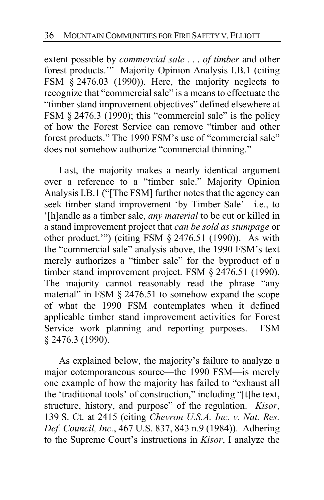extent possible by *commercial sale* . . . *of timber* and other forest products."<sup>"</sup> Majority Opinion Analysis I.B.1 (citing FSM § 2476.03 (1990)). Here, the majority neglects to recognize that "commercial sale" is a means to effectuate the "timber stand improvement objectives" defined elsewhere at FSM § 2476.3 (1990); this "commercial sale" is the policy of how the Forest Service can remove "timber and other forest products." The 1990 FSM's use of "commercial sale" does not somehow authorize "commercial thinning."

Last, the majority makes a nearly identical argument over a reference to a "timber sale." Majority Opinion Analysis I.B.1 ("[The FSM] further notes that the agency can seek timber stand improvement 'by Timber Sale'—i.e., to '[h]andle as a timber sale, *any material* to be cut or killed in a stand improvement project that *can be sold as stumpage* or other product.'") (citing FSM § 2476.51 (1990)). As with the "commercial sale" analysis above, the 1990 FSM's text merely authorizes a "timber sale" for the byproduct of a timber stand improvement project. FSM § 2476.51 (1990). The majority cannot reasonably read the phrase "any material" in FSM § 2476.51 to somehow expand the scope of what the 1990 FSM contemplates when it defined applicable timber stand improvement activities for Forest Service work planning and reporting purposes. FSM § 2476.3 (1990).

As explained below, the majority's failure to analyze a major cotemporaneous source—the 1990 FSM—is merely one example of how the majority has failed to "exhaust all the 'traditional tools' of construction," including "[t]he text, structure, history, and purpose" of the regulation. *Kisor*, 139 S. Ct. at 2415 (citing *Chevron U.S.A. Inc. v. Nat. Res. Def. Council, Inc.*, 467 U.S. 837, 843 n.9 (1984)). Adhering to the Supreme Court's instructions in *Kisor*, I analyze the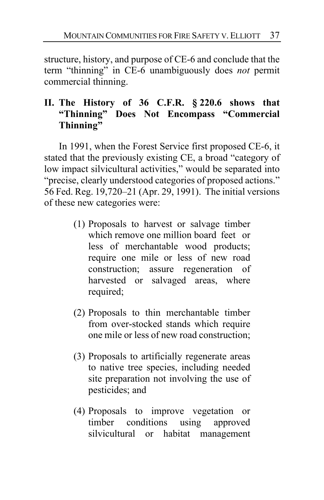structure, history, and purpose of CE-6 and conclude that the term "thinning" in CE-6 unambiguously does *not* permit commercial thinning.

# **II. The History of 36 C.F.R. § 220.6 shows that "Thinning" Does Not Encompass "Commercial Thinning"**

In 1991, when the Forest Service first proposed CE-6, it stated that the previously existing CE, a broad "category of low impact silvicultural activities," would be separated into "precise, clearly understood categories of proposed actions." 56 Fed. Reg. 19,720–21 (Apr. 29, 1991). The initial versions of these new categories were:

- (1) Proposals to harvest or salvage timber which remove one million board feet or less of merchantable wood products; require one mile or less of new road construction; assure regeneration of harvested or salvaged areas, where required;
- (2) Proposals to thin merchantable timber from over-stocked stands which require one mile or less of new road construction;
- (3) Proposals to artificially regenerate areas to native tree species, including needed site preparation not involving the use of pesticides; and
- (4) Proposals to improve vegetation or timber conditions using approved silvicultural or habitat management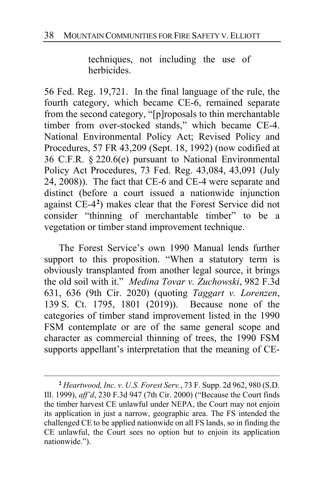techniques, not including the use of herbicides.

56 Fed. Reg. 19,721. In the final language of the rule, the fourth category, which became CE-6, remained separate from the second category, "[p]roposals to thin merchantable timber from over-stocked stands," which became CE-4. National Environmental Policy Act; Revised Policy and Procedures, 57 FR 43,209 (Sept. 18, 1992) (now codified at 36 C.F.R. § 220.6(e) pursuant to National Environmental Policy Act Procedures, 73 Fed. Reg. 43,084, 43,091 (July 24, 2008)). The fact that CE-6 and CE-4 were separate and distinct (before a court issued a nationwide injunction against CE-4**[2](#page-37-0)** ) makes clear that the Forest Service did not consider "thinning of merchantable timber" to be a vegetation or timber stand improvement technique.

The Forest Service's own 1990 Manual lends further support to this proposition. "When a statutory term is obviously transplanted from another legal source, it brings the old soil with it." *Medina Tovar v. Zuchowski*, 982 F.3d 631, 636 (9th Cir. 2020) (quoting *Taggart v. Lorenzen*, 139 S. Ct. 1795, 1801 (2019)). Because none of the categories of timber stand improvement listed in the 1990 FSM contemplate or are of the same general scope and character as commercial thinning of trees, the 1990 FSM supports appellant's interpretation that the meaning of CE-

<span id="page-37-0"></span>**<sup>2</sup>** *Heartwood, Inc. v. U.S. Forest Serv.*, 73 F. Supp. 2d 962, 980 (S.D. Ill. 1999), *aff'd*, 230 F.3d 947 (7th Cir. 2000) ("Because the Court finds the timber harvest CE unlawful under NEPA, the Court may not enjoin its application in just a narrow, geographic area. The FS intended the challenged CE to be applied nationwide on all FS lands, so in finding the CE unlawful, the Court sees no option but to enjoin its application nationwide.").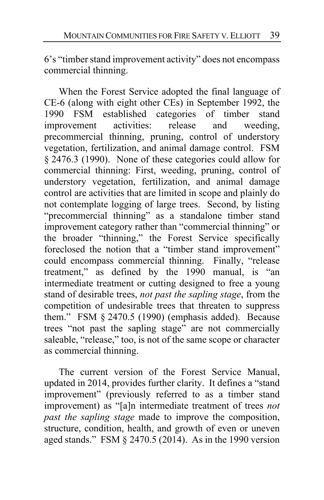6's "timber stand improvement activity" does not encompass commercial thinning.

When the Forest Service adopted the final language of CE-6 (along with eight other CEs) in September 1992, the 1990 FSM established categories of timber stand improvement activities: release and weeding, precommercial thinning, pruning, control of understory vegetation, fertilization, and animal damage control. FSM § 2476.3 (1990). None of these categories could allow for commercial thinning: First, weeding, pruning, control of understory vegetation, fertilization, and animal damage control are activities that are limited in scope and plainly do not contemplate logging of large trees. Second, by listing "precommercial thinning" as a standalone timber stand improvement category rather than "commercial thinning" or the broader "thinning," the Forest Service specifically foreclosed the notion that a "timber stand improvement" could encompass commercial thinning. Finally, "release treatment," as defined by the 1990 manual, is "an intermediate treatment or cutting designed to free a young stand of desirable trees, *not past the sapling stage*, from the competition of undesirable trees that threaten to suppress them." FSM § 2470.5 (1990) (emphasis added). Because trees "not past the sapling stage" are not commercially saleable, "release," too, is not of the same scope or character as commercial thinning.

The current version of the Forest Service Manual, updated in 2014, provides further clarity. It defines a "stand improvement" (previously referred to as a timber stand improvement) as "[a]n intermediate treatment of trees *not past the sapling stage* made to improve the composition, structure, condition, health, and growth of even or uneven aged stands." FSM § 2470.5 (2014). As in the 1990 version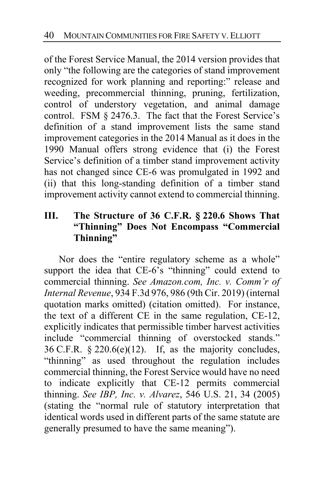of the Forest Service Manual, the 2014 version provides that only "the following are the categories of stand improvement recognized for work planning and reporting:" release and weeding, precommercial thinning, pruning, fertilization, control of understory vegetation, and animal damage control. FSM § 2476.3. The fact that the Forest Service's definition of a stand improvement lists the same stand improvement categories in the 2014 Manual as it does in the 1990 Manual offers strong evidence that (i) the Forest Service's definition of a timber stand improvement activity has not changed since CE-6 was promulgated in 1992 and (ii) that this long-standing definition of a timber stand improvement activity cannot extend to commercial thinning.

# **III. The Structure of 36 C.F.R. § 220.6 Shows That "Thinning" Does Not Encompass "Commercial Thinning"**

Nor does the "entire regulatory scheme as a whole" support the idea that CE-6's "thinning" could extend to commercial thinning. *See Amazon.com, Inc. v. Comm'r of Internal Revenue*, 934 F.3d 976, 986 (9th Cir. 2019) (internal quotation marks omitted) (citation omitted). For instance, the text of a different CE in the same regulation, CE-12, explicitly indicates that permissible timber harvest activities include "commercial thinning of overstocked stands." 36 C.F.R.  $\S 220.6(e)(12)$ . If, as the majority concludes, "thinning" as used throughout the regulation includes commercial thinning, the Forest Service would have no need to indicate explicitly that CE-12 permits commercial thinning. *See IBP, Inc. v. Alvarez*, 546 U.S. 21, 34 (2005) (stating the "normal rule of statutory interpretation that identical words used in different parts of the same statute are generally presumed to have the same meaning").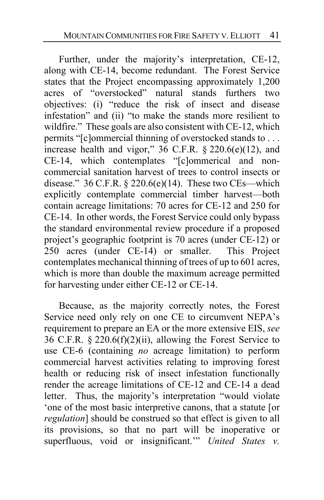Further, under the majority's interpretation, CE-12, along with CE-14, become redundant. The Forest Service states that the Project encompassing approximately 1,200 acres of "overstocked" natural stands furthers two objectives: (i) "reduce the risk of insect and disease infestation" and (ii) "to make the stands more resilient to wildfire." These goals are also consistent with CE-12, which permits "[c]ommercial thinning of overstocked stands to . . . increase health and vigor," 36 C.F.R. § 220.6(e)(12), and CE-14, which contemplates "[c]ommerical and noncommercial sanitation harvest of trees to control insects or disease."  $36$  C.F.R. § 220.6(e)(14). These two CEs—which explicitly contemplate commercial timber harvest—both contain acreage limitations: 70 acres for CE-12 and 250 for CE-14. In other words, the Forest Service could only bypass the standard environmental review procedure if a proposed project's geographic footprint is 70 acres (under CE-12) or 250 acres (under CE-14) or smaller. This Project contemplates mechanical thinning of trees of up to 601 acres, which is more than double the maximum acreage permitted for harvesting under either CE-12 or CE-14.

Because, as the majority correctly notes, the Forest Service need only rely on one CE to circumvent NEPA's requirement to prepare an EA or the more extensive EIS, *see* 36 C.F.R. § 220.6(f)(2)(ii), allowing the Forest Service to use CE-6 (containing *no* acreage limitation) to perform commercial harvest activities relating to improving forest health or reducing risk of insect infestation functionally render the acreage limitations of CE-12 and CE-14 a dead letter. Thus, the majority's interpretation "would violate 'one of the most basic interpretive canons, that a statute [or *regulation*] should be construed so that effect is given to all its provisions, so that no part will be inoperative or superfluous, void or insignificant.'" *United States v.*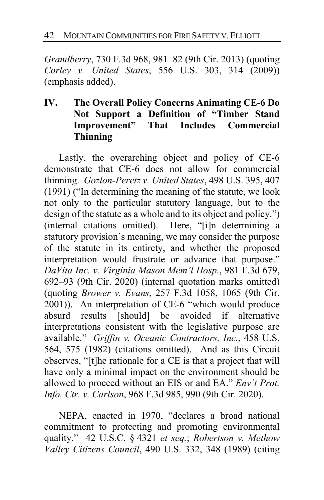*Grandberry*, 730 F.3d 968, 981–82 (9th Cir. 2013) (quoting *Corley v. United States*, 556 U.S. 303, 314 (2009)) (emphasis added).

# **IV. The Overall Policy Concerns Animating CE-6 Do Not Support a Definition of "Timber Stand Improvement" That Includes Commercial Thinning**

Lastly, the overarching object and policy of CE-6 demonstrate that CE-6 does not allow for commercial thinning. *Gozlon-Peretz v. United States*, 498 U.S. 395, 407 (1991) ("In determining the meaning of the statute, we look not only to the particular statutory language, but to the design of the statute as a whole and to its object and policy.") (internal citations omitted). Here, "[i]n determining a statutory provision's meaning, we may consider the purpose of the statute in its entirety, and whether the proposed interpretation would frustrate or advance that purpose." *DaVita Inc. v. Virginia Mason Mem'l Hosp.*, 981 F.3d 679, 692–93 (9th Cir. 2020) (internal quotation marks omitted) (quoting *Brower v. Evans*, 257 F.3d 1058, 1065 (9th Cir. 2001)). An interpretation of CE-6 "which would produce absurd results [should] be avoided if alternative interpretations consistent with the legislative purpose are available." *Griffin v. Oceanic Contractors, Inc.*, 458 U.S. 564, 575 (1982) (citations omitted). And as this Circuit observes, "[t]he rationale for a CE is that a project that will have only a minimal impact on the environment should be allowed to proceed without an EIS or and EA." *Env't Prot. Info. Ctr. v. Carlson*, 968 F.3d 985, 990 (9th Cir. 2020).

NEPA, enacted in 1970, "declares a broad national commitment to protecting and promoting environmental quality." 42 U.S.C. § 4321 *et seq.*; *Robertson v. Methow Valley Citizens Council*, 490 U.S. 332, 348 (1989) (citing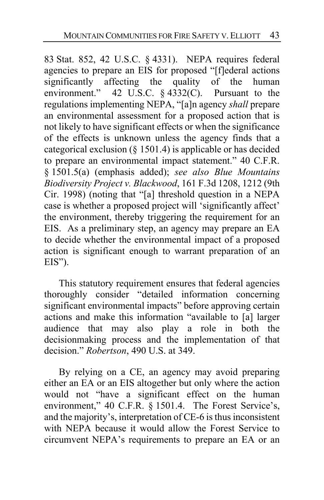83 Stat. 852, 42 U.S.C. § 4331). NEPA requires federal agencies to prepare an EIS for proposed "[f]ederal actions significantly affecting the quality of the human environment." 42 U.S.C. § 4332(C). Pursuant to the regulations implementing NEPA, "[a]n agency *shall* prepare an environmental assessment for a proposed action that is not likely to have significant effects or when the significance of the effects is unknown unless the agency finds that a categorical exclusion (§ 1501.4) is applicable or has decided to prepare an environmental impact statement." 40 C.F.R. § 1501.5(a) (emphasis added); *see also Blue Mountains Biodiversity Project v. Blackwood*, 161 F.3d 1208, 1212 (9th Cir. 1998) (noting that "[a] threshold question in a NEPA case is whether a proposed project will 'significantly affect' the environment, thereby triggering the requirement for an EIS. As a preliminary step, an agency may prepare an EA to decide whether the environmental impact of a proposed action is significant enough to warrant preparation of an EIS").

This statutory requirement ensures that federal agencies thoroughly consider "detailed information concerning significant environmental impacts" before approving certain actions and make this information "available to [a] larger audience that may also play a role in both the decisionmaking process and the implementation of that decision." *Robertson*, 490 U.S. at 349.

By relying on a CE, an agency may avoid preparing either an EA or an EIS altogether but only where the action would not "have a significant effect on the human environment," 40 C.F.R. § 1501.4. The Forest Service's, and the majority's, interpretation of CE-6 is thus inconsistent with NEPA because it would allow the Forest Service to circumvent NEPA's requirements to prepare an EA or an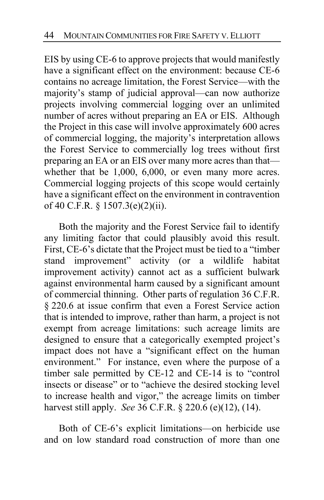EIS by using CE-6 to approve projects that would manifestly have a significant effect on the environment: because CE-6 contains no acreage limitation, the Forest Service—with the majority's stamp of judicial approval—can now authorize projects involving commercial logging over an unlimited number of acres without preparing an EA or EIS. Although the Project in this case will involve approximately 600 acres of commercial logging, the majority's interpretation allows the Forest Service to commercially log trees without first preparing an EA or an EIS over many more acres than that whether that be 1,000, 6,000, or even many more acres. Commercial logging projects of this scope would certainly have a significant effect on the environment in contravention of 40 C.F.R. § 1507.3(e)(2)(ii).

Both the majority and the Forest Service fail to identify any limiting factor that could plausibly avoid this result. First, CE-6's dictate that the Project must be tied to a "timber stand improvement" activity (or a wildlife habitat improvement activity) cannot act as a sufficient bulwark against environmental harm caused by a significant amount of commercial thinning. Other parts of regulation 36 C.F.R. § 220.6 at issue confirm that even a Forest Service action that is intended to improve, rather than harm, a project is not exempt from acreage limitations: such acreage limits are designed to ensure that a categorically exempted project's impact does not have a "significant effect on the human environment." For instance, even where the purpose of a timber sale permitted by CE-12 and CE-14 is to "control insects or disease" or to "achieve the desired stocking level to increase health and vigor," the acreage limits on timber harvest still apply. *See* 36 C.F.R. § 220.6 (e)(12), (14).

Both of CE-6's explicit limitations—on herbicide use and on low standard road construction of more than one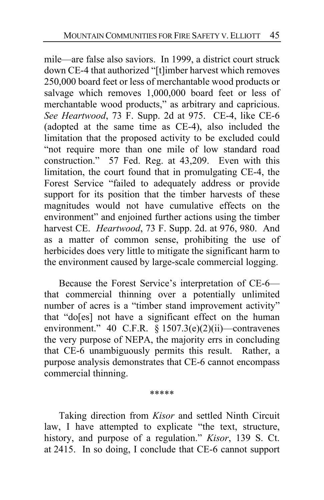mile—are false also saviors. In 1999, a district court struck down CE-4 that authorized "[t]imber harvest which removes 250,000 board feet or less of merchantable wood products or salvage which removes 1,000,000 board feet or less of merchantable wood products," as arbitrary and capricious. *See Heartwood*, 73 F. Supp. 2d at 975. CE-4, like CE-6 (adopted at the same time as CE-4), also included the limitation that the proposed activity to be excluded could "not require more than one mile of low standard road construction." 57 Fed. Reg. at 43,209. Even with this limitation, the court found that in promulgating CE-4, the Forest Service "failed to adequately address or provide support for its position that the timber harvests of these magnitudes would not have cumulative effects on the environment" and enjoined further actions using the timber harvest CE. *Heartwood*, 73 F. Supp. 2d. at 976, 980. And as a matter of common sense, prohibiting the use of herbicides does very little to mitigate the significant harm to the environment caused by large-scale commercial logging.

Because the Forest Service's interpretation of CE-6 that commercial thinning over a potentially unlimited number of acres is a "timber stand improvement activity" that "do[es] not have a significant effect on the human environment." 40 C.F.R. § 1507.3(e)(2)(ii)—contravenes the very purpose of NEPA, the majority errs in concluding that CE-6 unambiguously permits this result. Rather, a purpose analysis demonstrates that CE-6 cannot encompass commercial thinning.

\*\*\*\*\*

Taking direction from *Kisor* and settled Ninth Circuit law, I have attempted to explicate "the text, structure, history, and purpose of a regulation." *Kisor*, 139 S. Ct. at 2415. In so doing, I conclude that CE-6 cannot support